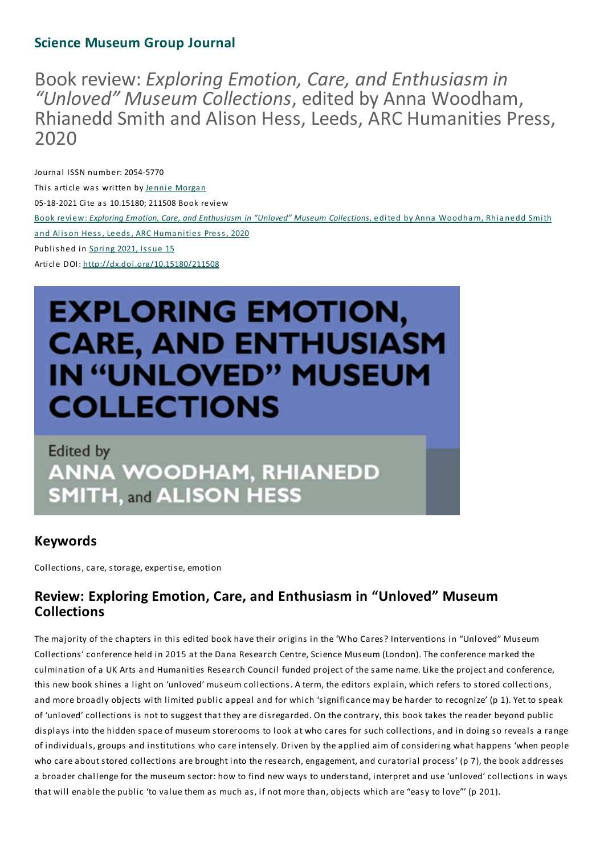# **Science Museum Group Journal**

Bookreview:*Exploring Emotion, Care, and Enthusiasm in "Unloved" Museum Collections*, edited by Anna Woodham, Rhianedd Smith and Alison Hess, Leeds, ARC Humanities Press, 2020

Journal ISSN number: 2054-5770 This article was written by Jennie Morgan 05-18-2021 Cite as 10.15180; 211508 Book review Book review: *Exploring Emotion, Care, and Enthusiasm in "Unloved" Museum Collections*, edited by Anna Woodham, Rhia nedd Smith and Alison Hess, Leeds, ARC Humanities Press, 2020 Published in Spring 2021, Issue 15 Article DOI: http://dx.doi.org/10.15180/211508

# **EXPLORING EMOTION, CARE, AND ENTHUSIASM IN "UNLOVED" MUSEUM COLLECTIONS**

**Edited by ANNA WOODHAM, RHIANEDD SMITH, and ALISON HESS** 

# **Keywords**

Collections, care, storage, expertise, emotion

# **Review: ExploringEmotion, Care, and Enthusiasm in "Unloved" Museum Collections**

The majority of the chapters in this edited book have their origins in the 'Who Cares? Interventions in "Unloved" Museum Collections' conference held in 2015 at the Dana Research Centre, Science Museum (London).The conference marked the culmination of a UK Arts and Humanities Research Council funded project of the same name. Like the project and conference, this new book shines a light on 'unloved' museum collections. A term, the editors explain, which refers to stored collections, and more broadly objects with limited public appeal and for which 'significance may be harder to recognize' (p 1). Yet to speak of 'unloved' collections is not to suggest that they are disregarded. On the contrary, this book takes the reader beyond public displays into the hidden space of museum storerooms to look at who cares for such collections, and in doing so reveals a range of individuals, groups and institutions who care intensely. Driven by the applied aim of considering what happens 'when people who care about stored collections are brought into the research, engagement, and curatorial process' (p 7), the book addresses a broader challenge for the museum sector: how to find new ways to understand, interpret and use 'unloved' collections in ways that will enable the public 'to value them as much as, if not more than, objects which are "easy to love"' (p 201).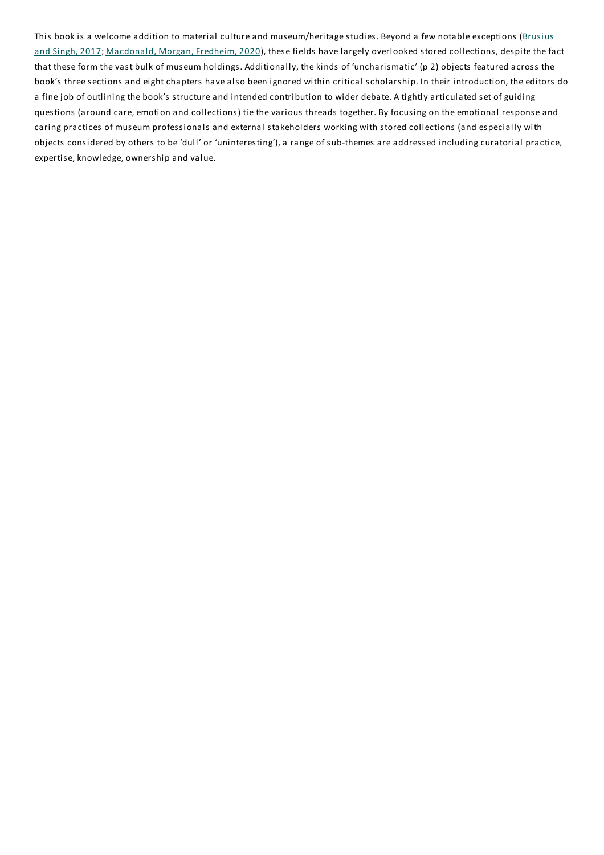This book is a welcome addition to material culture and museum/heritage studies. Beyond a few notable exceptions (Brusius and Singh, 2017; Macdonald, Morgan, Fredheim, 2020), these fields have largely overlooked stored collections, despite the fact that these form the vast bulk of museum holdings. Additionally, the kinds of 'uncharismatic' (p 2) objects featured across the book's three sections and eight chapters have also been ignored within critical scholarship. In their introduction, the editors do a fine job of outlining the book's structure and intended contribution to wider debate. A tightly articulated set of guiding questions (around care, emotion and collections) tie the various threads together. By focusing on the emotional response and caring practices of museum professionals and external stakeholders working with stored collections (and especially with objects considered by others to be 'dull' or 'uninteresting'), a range of sub-themes are addressed including curatorial practice, expertise, knowledge, ownership and value.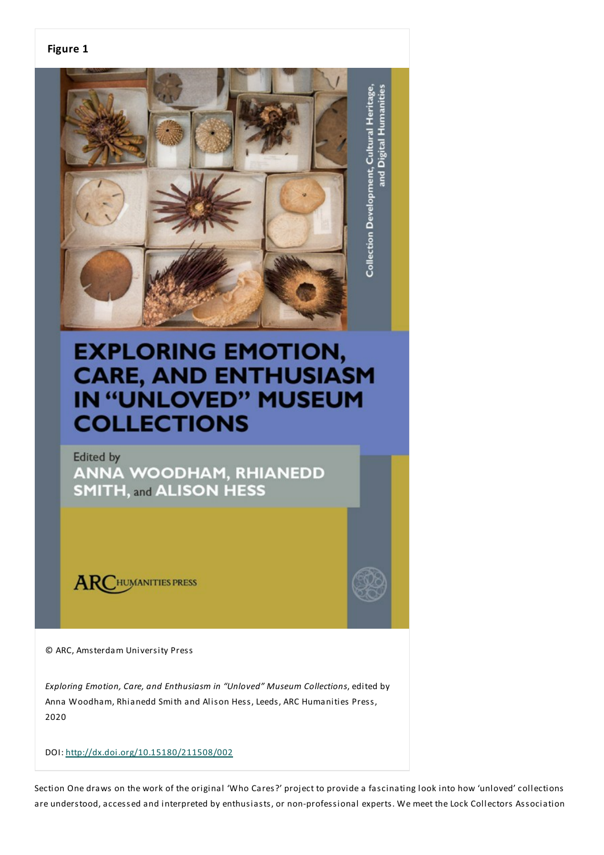#### **Figure 1**



# **EXPLORING EMOTION, CARE, AND ENTHUSIASM IN "UNLOVED" MUSEUM COLLECTIONS**

**Edited by ANNA WOODHAM, RHIANEDD SMITH, and ALISON HESS** 

**ARCHUMANITIES PRESS** 

© ARC, Amsterdam University Press

*Exploring Emotion, Care, and Enthusiasm in "Unloved" Museum Collections*, edited by Anna Woodham, Rhianedd Smith and Alison Hess, Leeds, ARC Humanities Press, 2020

DOI: http://dx.doi.org/10.15180/211508/002

Section One draws on the work of the original 'Who Cares?' project to provide a fascinating look into how 'unloved' collections are understood, accessed and interpreted by enthusiasts, or non-professional experts. We meet the Lock Collectors Association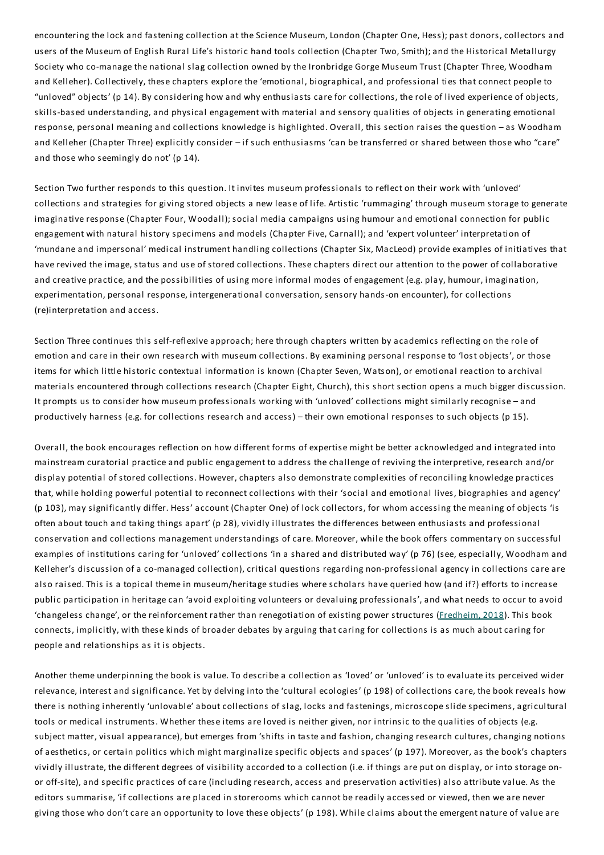encountering the lock and fastening collection at the Science Museum, London (Chapter One, Hess); past donors, collectors and users of the Museum of English Rural Life's historic hand tools collection (Chapter Two, Smith); and the Historical Metallurgy Society who co-manage the national slag collection owned by the Ironbridge Gorge Museum Trust (Chapter Three, Woodham and Kelleher). Collectively, these chapters explore the 'emotional, biographical, and professional ties that connect people to "unloved" objects' (p 14). By considering how and why enthusiasts care for collections, the role of lived experience of objects, skills-based understanding, and physical engagement with material and sensory qualities of objects in generating emotional response, personal meaning and collections knowledge is highlighted. Overall, this section raises the question – as Woodham and Kelleher (Chapter Three) explicitly consider – if such enthusiasms 'can be transferred or shared between those who "care" and those who seemingly do not' (p 14).

Section Two further responds to this question. It invites museum professionals to reflect on their work with 'unloved' collections and strategies for giving stored objects a new lease of life. Artistic 'rummaging' through museum storage to generate imaginative response (Chapter Four, Woodall); social media campaigns using humour and emotional connection for public engagement with natural history specimens and models (Chapter Five, Carnall); and 'expert volunteer' interpretation of 'mundane and impersonal' medical instrument handling collections (Chapter Six, MacLeod) provide examples of initiatives that have revived the image, status and use of stored collections.These chapters direct our attention to the power of collaborative and creative practice, and the possibilities of using more informal modes of engagement (e.g. play, humour, imagination, experimentation, personal response, intergenerational conversation, sensory hands-on encounter), for collections (re)interpretation and access.

Section Three continues this self-reflexive approach; here through chapters written by academics reflecting on the role of emotion and care in their own research with museum collections. By examining personal response to 'lost objects', or those items for which little historic contextual information is known (Chapter Seven, Watson), or emotional reaction to archival materials encountered through collections research (Chapter Eight, Church), this short section opens a much bigger discussion. It prompts us to consider how museum professionals working with 'unloved' collections might similarly recognise – and productively harness (e.g. for collections research and access) – their own emotional responses to such objects (p 15).

Overall, the book encourages reflection on how different forms of expertise might be better acknowledged and integrated into mainstream curatorial practice and public engagement to address the challenge of reviving the interpretive, research and/or display potential of stored collections. However, chapters also demonstrate complexities of reconciling knowledge practices that, while holding powerful potential to reconnect collections with their 'social and emotional lives, biographies and agency' (p 103), may significantly differ. Hess' account (Chapter One) of lock collectors, for whom accessing the meaning of objects 'is often about touch and taking things apart' (p 28), vividly illustrates the differences between enthusiasts and professional conservation and collections management understandings of care. Moreover, while the book offers commentary on successful examples of institutions caring for 'unloved' collections 'in a shared and distributed way' (p 76) (see, especially, Woodham and Kelleher's discussion of a co-managed collection), critical questions regarding non-professional agency in collections care are also raised.This is a topical theme in museum/heritage studies where scholars have queried how (and if?) efforts to increase public participation in heritage can 'avoid exploiting volunteers or devaluing professionals', and what needs to occur to avoid 'changeless change', or the reinforcement rather than renegotiation of existing power structures (Fredheim, 2018). This book connects, implicitly, with these kinds of broader debates by arguing that caring for collections is as much about caring for people and relationships as it is objects.

Another theme underpinning the book is value.To describe a collection as 'loved' or 'unloved' is to evaluate its perceived wider relevance, interest and significance. Yet by delving into the 'cultural ecologies' (p 198) of collections care, the book reveals how there is nothing inherently 'unlovable' about collections of slag, locks and fastenings, microscope slide specimens, agricultural tools or medical instruments. Whether these items are loved is neither given, nor intrinsic to the qualities of objects (e.g. subject matter, visual appearance), but emerges from 'shifts in taste and fashion, changing research cultures, changing notions of aesthetics, or certain politics which might marginalize specific objects and spaces' (p 197). Moreover, as the book's chapters vividly illustrate, the different degrees of visibility accorded to a collection (i.e. if things are put on display, or into storage onor off-site), and specific practices of care (including research, access and preservation activities) also attribute value. As the editors summarise, 'if collections are placed in storerooms which cannot be readily accessed or viewed, then we are never giving those who don't care an opportunity to love these objects' (p 198). While claims about the emergent nature of value are